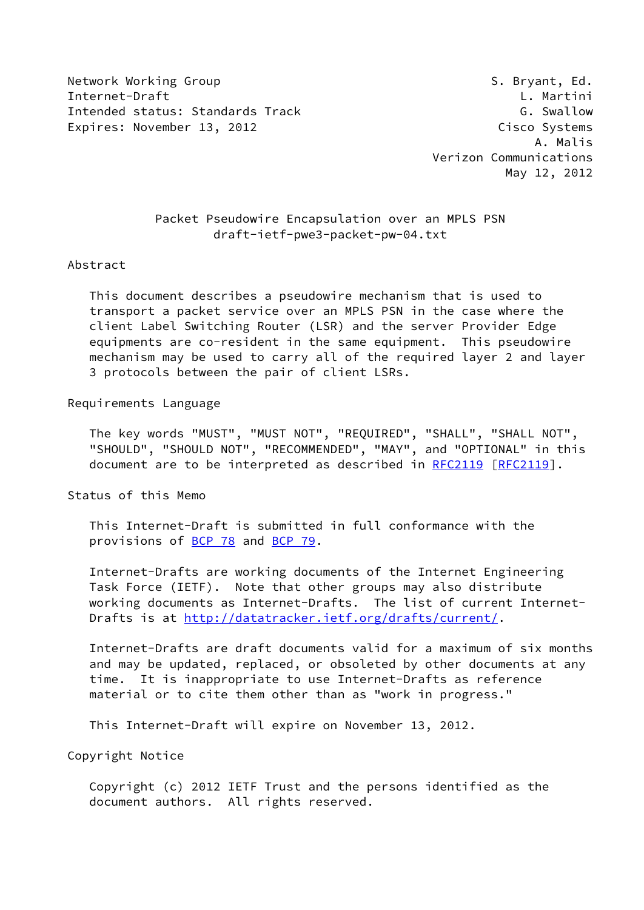Network Working Group S. Bryant, Ed. Internet-Draft L. Martini Intended status: Standards Track G. Swallow Expires: November 13, 2012 Cisco Systems

## Packet Pseudowire Encapsulation over an MPLS PSN draft-ietf-pwe3-packet-pw-04.txt

#### Abstract

 This document describes a pseudowire mechanism that is used to transport a packet service over an MPLS PSN in the case where the client Label Switching Router (LSR) and the server Provider Edge equipments are co-resident in the same equipment. This pseudowire mechanism may be used to carry all of the required layer 2 and layer 3 protocols between the pair of client LSRs.

#### Requirements Language

 The key words "MUST", "MUST NOT", "REQUIRED", "SHALL", "SHALL NOT", "SHOULD", "SHOULD NOT", "RECOMMENDED", "MAY", and "OPTIONAL" in this document are to be interpreted as described in [RFC2119](https://datatracker.ietf.org/doc/pdf/rfc2119) [\[RFC2119](https://datatracker.ietf.org/doc/pdf/rfc2119)].

Status of this Memo

 This Internet-Draft is submitted in full conformance with the provisions of [BCP 78](https://datatracker.ietf.org/doc/pdf/bcp78) and [BCP 79](https://datatracker.ietf.org/doc/pdf/bcp79).

 Internet-Drafts are working documents of the Internet Engineering Task Force (IETF). Note that other groups may also distribute working documents as Internet-Drafts. The list of current Internet- Drafts is at<http://datatracker.ietf.org/drafts/current/>.

 Internet-Drafts are draft documents valid for a maximum of six months and may be updated, replaced, or obsoleted by other documents at any time. It is inappropriate to use Internet-Drafts as reference material or to cite them other than as "work in progress."

This Internet-Draft will expire on November 13, 2012.

Copyright Notice

 Copyright (c) 2012 IETF Trust and the persons identified as the document authors. All rights reserved.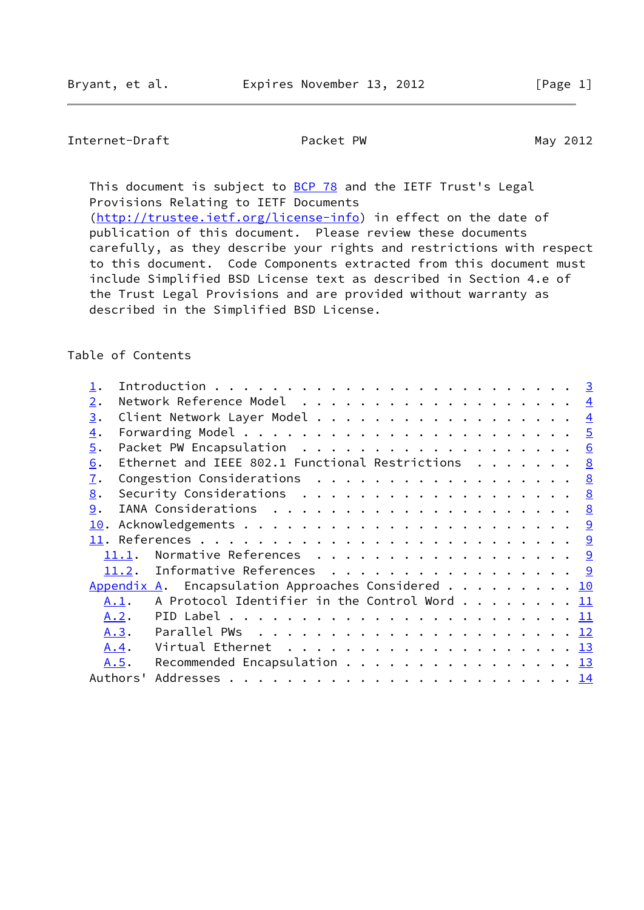## Internet-Draft Packet PW May 2012

This document is subject to **[BCP 78](https://datatracker.ietf.org/doc/pdf/bcp78)** and the IETF Trust's Legal Provisions Relating to IETF Documents

[\(http://trustee.ietf.org/license-info](http://trustee.ietf.org/license-info)) in effect on the date of publication of this document. Please review these documents carefully, as they describe your rights and restrictions with respect to this document. Code Components extracted from this document must include Simplified BSD License text as described in Section 4.e of the Trust Legal Provisions and are provided without warranty as described in the Simplified BSD License.

### Table of Contents

| 2.               |                                                                                               | $\overline{4}$  |
|------------------|-----------------------------------------------------------------------------------------------|-----------------|
| 3.               |                                                                                               | $\overline{4}$  |
| $\overline{4}$ . |                                                                                               | $\overline{5}$  |
| 5.               |                                                                                               | $6\overline{6}$ |
| 6.               | Ethernet and IEEE 802.1 Functional Restrictions                                               | <u>8</u>        |
| $\overline{1}$ . | Congestion Considerations 8                                                                   |                 |
| 8.               | Security Considerations $\ldots$ 8                                                            |                 |
| 9.               |                                                                                               |                 |
| 10.              |                                                                                               |                 |
|                  |                                                                                               |                 |
|                  | Normative References 9<br>11.1.                                                               |                 |
|                  | Informative References 9<br>11.2.                                                             |                 |
|                  | Appendix A. Encapsulation Approaches Considered 10                                            |                 |
|                  | A Protocol Identifier in the Control Word 11<br>A.1.                                          |                 |
|                  | A.2.                                                                                          |                 |
|                  | Parallel PWs $\ldots \ldots \ldots \ldots \ldots \ldots \ldots \ldots \underline{12}$<br>A.3. |                 |
|                  | Virtual Ethernet $\ldots \ldots \ldots \ldots \ldots \ldots \ldots \frac{13}{13}$<br>A.4.     |                 |
|                  | Recommended Encapsulation 13<br>A.5.                                                          |                 |
|                  | Authors'                                                                                      |                 |
|                  |                                                                                               |                 |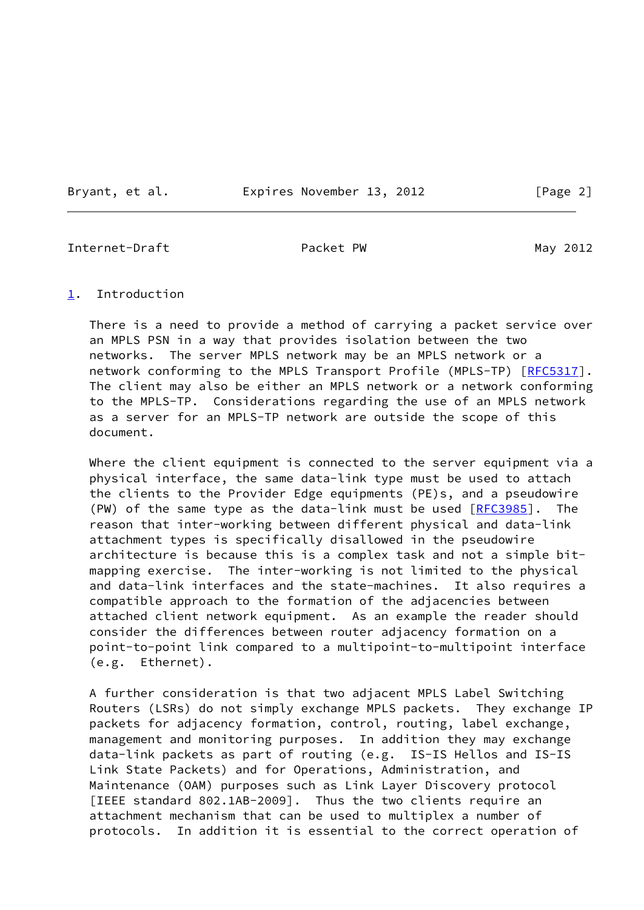Bryant, et al. **Expires November 13, 2012** [Page 2]

<span id="page-2-1"></span>Internet-Draft **Packet PW** Packet PW May 2012

#### <span id="page-2-0"></span>[1](#page-2-0). Introduction

 There is a need to provide a method of carrying a packet service over an MPLS PSN in a way that provides isolation between the two networks. The server MPLS network may be an MPLS network or a network conforming to the MPLS Transport Profile (MPLS-TP) [[RFC5317\]](https://datatracker.ietf.org/doc/pdf/rfc5317). The client may also be either an MPLS network or a network conforming to the MPLS-TP. Considerations regarding the use of an MPLS network as a server for an MPLS-TP network are outside the scope of this document.

Where the client equipment is connected to the server equipment via a physical interface, the same data-link type must be used to attach the clients to the Provider Edge equipments (PE)s, and a pseudowire (PW) of the same type as the data-link must be used [\[RFC3985](https://datatracker.ietf.org/doc/pdf/rfc3985)]. The reason that inter-working between different physical and data-link attachment types is specifically disallowed in the pseudowire architecture is because this is a complex task and not a simple bit mapping exercise. The inter-working is not limited to the physical and data-link interfaces and the state-machines. It also requires a compatible approach to the formation of the adjacencies between attached client network equipment. As an example the reader should consider the differences between router adjacency formation on a point-to-point link compared to a multipoint-to-multipoint interface (e.g. Ethernet).

 A further consideration is that two adjacent MPLS Label Switching Routers (LSRs) do not simply exchange MPLS packets. They exchange IP packets for adjacency formation, control, routing, label exchange, management and monitoring purposes. In addition they may exchange data-link packets as part of routing (e.g. IS-IS Hellos and IS-IS Link State Packets) and for Operations, Administration, and Maintenance (OAM) purposes such as Link Layer Discovery protocol [IEEE standard 802.1AB-2009]. Thus the two clients require an attachment mechanism that can be used to multiplex a number of protocols. In addition it is essential to the correct operation of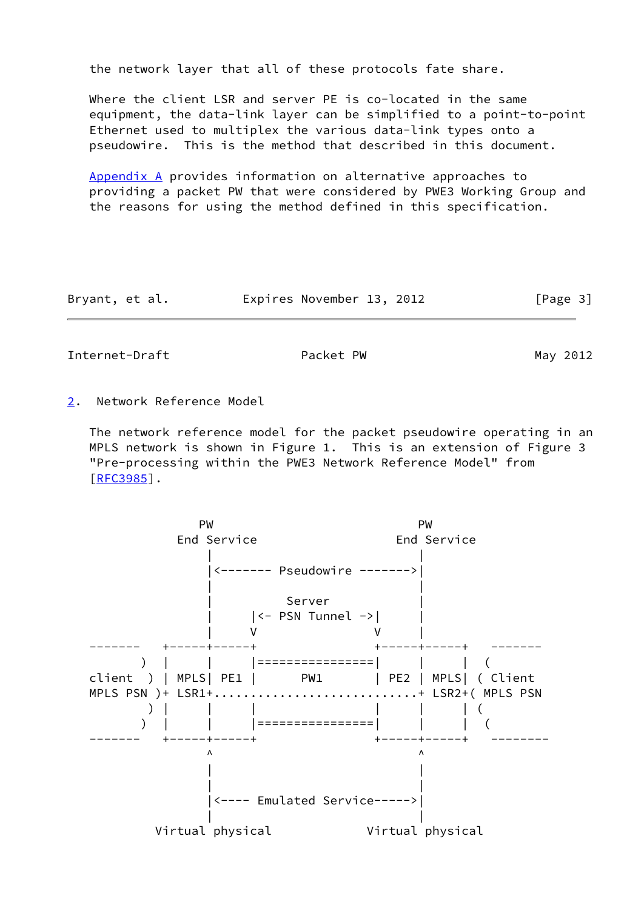the network layer that all of these protocols fate share.

 Where the client LSR and server PE is co-located in the same equipment, the data-link layer can be simplified to a point-to-point Ethernet used to multiplex the various data-link types onto a pseudowire. This is the method that described in this document.

 [Appendix A](#page-10-0) provides information on alternative approaches to providing a packet PW that were considered by PWE3 Working Group and the reasons for using the method defined in this specification.

| Bryant, et al. | Expires November 13, 2012 |  | [Page 3] |
|----------------|---------------------------|--|----------|
|----------------|---------------------------|--|----------|

<span id="page-3-1"></span>Internet-Draft Packet PW Packet PW May 2012

<span id="page-3-0"></span>[2](#page-3-0). Network Reference Model

 The network reference model for the packet pseudowire operating in an MPLS network is shown in Figure 1. This is an extension of Figure 3 "Pre-processing within the PWE3 Network Reference Model" from [\[RFC3985](https://datatracker.ietf.org/doc/pdf/rfc3985)].

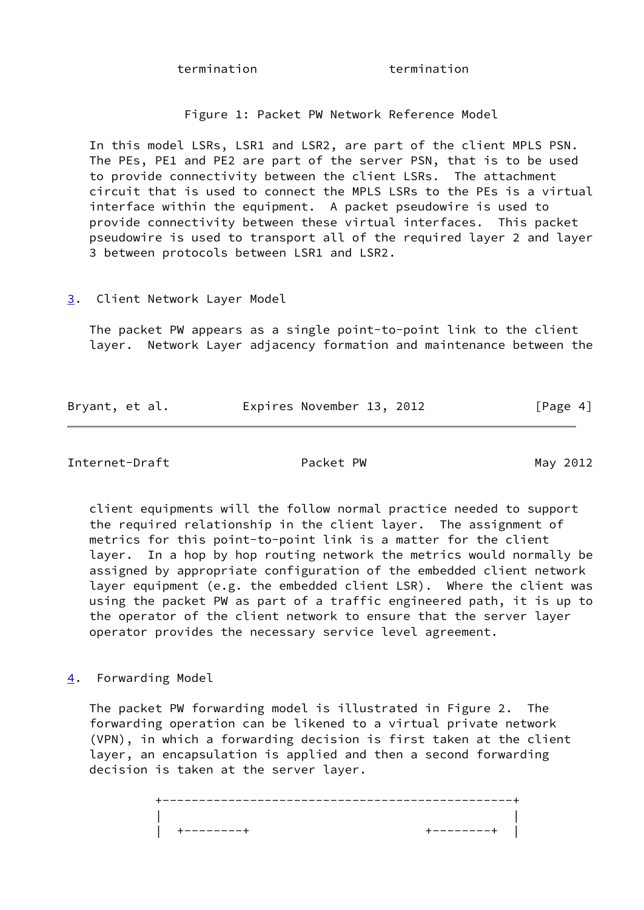termination termination

Figure 1: Packet PW Network Reference Model

 In this model LSRs, LSR1 and LSR2, are part of the client MPLS PSN. The PEs, PE1 and PE2 are part of the server PSN, that is to be used to provide connectivity between the client LSRs. The attachment circuit that is used to connect the MPLS LSRs to the PEs is a virtual interface within the equipment. A packet pseudowire is used to provide connectivity between these virtual interfaces. This packet pseudowire is used to transport all of the required layer 2 and layer 3 between protocols between LSR1 and LSR2.

<span id="page-4-0"></span>[3](#page-4-0). Client Network Layer Model

 The packet PW appears as a single point-to-point link to the client layer. Network Layer adjacency formation and maintenance between the

| Bryant, et al. | Expires November 13, 2012 | [Page 4] |
|----------------|---------------------------|----------|
|                |                           |          |

<span id="page-4-2"></span>Internet-Draft **Packet PW** Packet PW May 2012

 client equipments will the follow normal practice needed to support the required relationship in the client layer. The assignment of metrics for this point-to-point link is a matter for the client layer. In a hop by hop routing network the metrics would normally be assigned by appropriate configuration of the embedded client network layer equipment (e.g. the embedded client LSR). Where the client was using the packet PW as part of a traffic engineered path, it is up to the operator of the client network to ensure that the server layer operator provides the necessary service level agreement.

<span id="page-4-1"></span>[4](#page-4-1). Forwarding Model

 The packet PW forwarding model is illustrated in Figure 2. The forwarding operation can be likened to a virtual private network (VPN), in which a forwarding decision is first taken at the client layer, an encapsulation is applied and then a second forwarding decision is taken at the server layer.

 +------------------------------------------------+ | | | +--------+ +--------+ |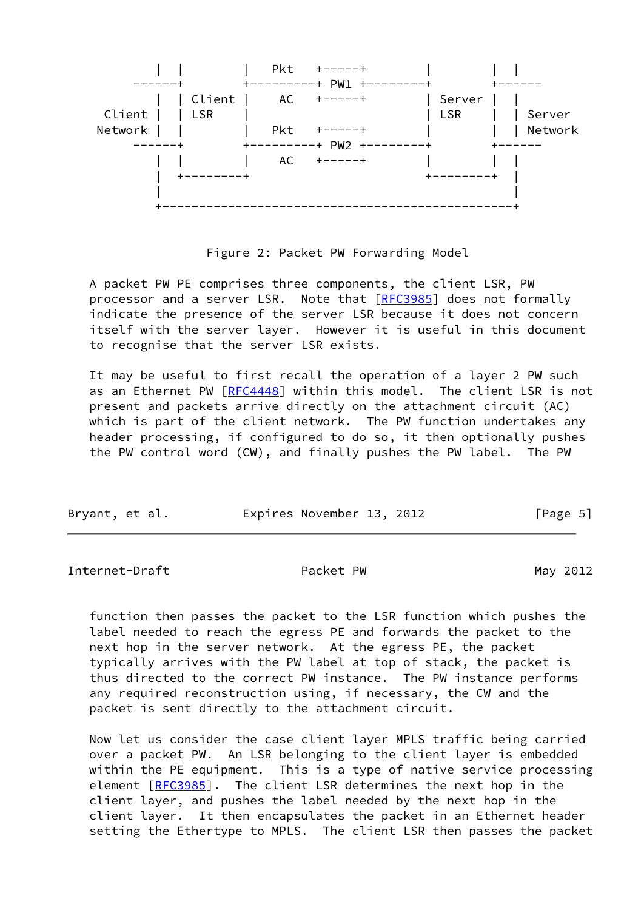

Figure 2: Packet PW Forwarding Model

 A packet PW PE comprises three components, the client LSR, PW processor and a server LSR. Note that [\[RFC3985](https://datatracker.ietf.org/doc/pdf/rfc3985)] does not formally indicate the presence of the server LSR because it does not concern itself with the server layer. However it is useful in this document to recognise that the server LSR exists.

 It may be useful to first recall the operation of a layer 2 PW such as an Ethernet PW [[RFC4448](https://datatracker.ietf.org/doc/pdf/rfc4448)] within this model. The client LSR is not present and packets arrive directly on the attachment circuit (AC) which is part of the client network. The PW function undertakes any header processing, if configured to do so, it then optionally pushes the PW control word (CW), and finally pushes the PW label. The PW

| Bryant, et al. | Expires November 13, 2012 | [Page 5] |
|----------------|---------------------------|----------|
|                |                           |          |

<span id="page-5-0"></span>Internet-Draft Packet PW Packet PW May 2012

 function then passes the packet to the LSR function which pushes the label needed to reach the egress PE and forwards the packet to the next hop in the server network. At the egress PE, the packet typically arrives with the PW label at top of stack, the packet is thus directed to the correct PW instance. The PW instance performs any required reconstruction using, if necessary, the CW and the packet is sent directly to the attachment circuit.

 Now let us consider the case client layer MPLS traffic being carried over a packet PW. An LSR belonging to the client layer is embedded within the PE equipment. This is a type of native service processing element [\[RFC3985](https://datatracker.ietf.org/doc/pdf/rfc3985)]. The client LSR determines the next hop in the client layer, and pushes the label needed by the next hop in the client layer. It then encapsulates the packet in an Ethernet header setting the Ethertype to MPLS. The client LSR then passes the packet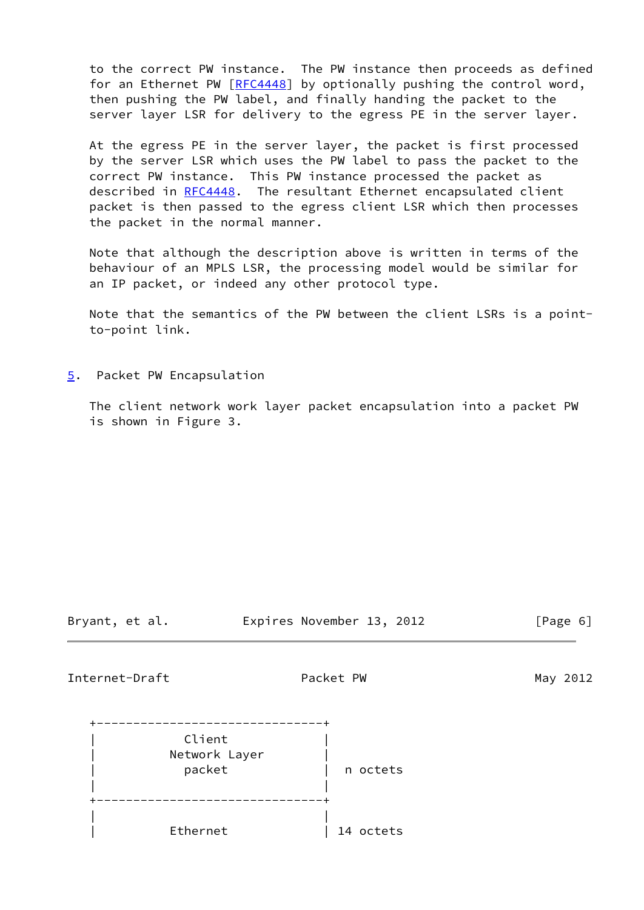to the correct PW instance. The PW instance then proceeds as defined for an Ethernet PW [[RFC4448\]](https://datatracker.ietf.org/doc/pdf/rfc4448) by optionally pushing the control word, then pushing the PW label, and finally handing the packet to the server layer LSR for delivery to the egress PE in the server layer.

 At the egress PE in the server layer, the packet is first processed by the server LSR which uses the PW label to pass the packet to the correct PW instance. This PW instance processed the packet as described in [RFC4448](https://datatracker.ietf.org/doc/pdf/rfc4448). The resultant Ethernet encapsulated client packet is then passed to the egress client LSR which then processes the packet in the normal manner.

 Note that although the description above is written in terms of the behaviour of an MPLS LSR, the processing model would be similar for an IP packet, or indeed any other protocol type.

 Note that the semantics of the PW between the client LSRs is a point to-point link.

<span id="page-6-0"></span>[5](#page-6-0). Packet PW Encapsulation

 The client network work layer packet encapsulation into a packet PW is shown in Figure 3.

Bryant, et al. Expires November 13, 2012 [Page 6]

Internet-Draft Packet PW May 2012

| Client        |           |
|---------------|-----------|
| Network Layer |           |
| packet        | n octets  |
|               |           |
|               |           |
|               |           |
| Ethernet      | 14 octets |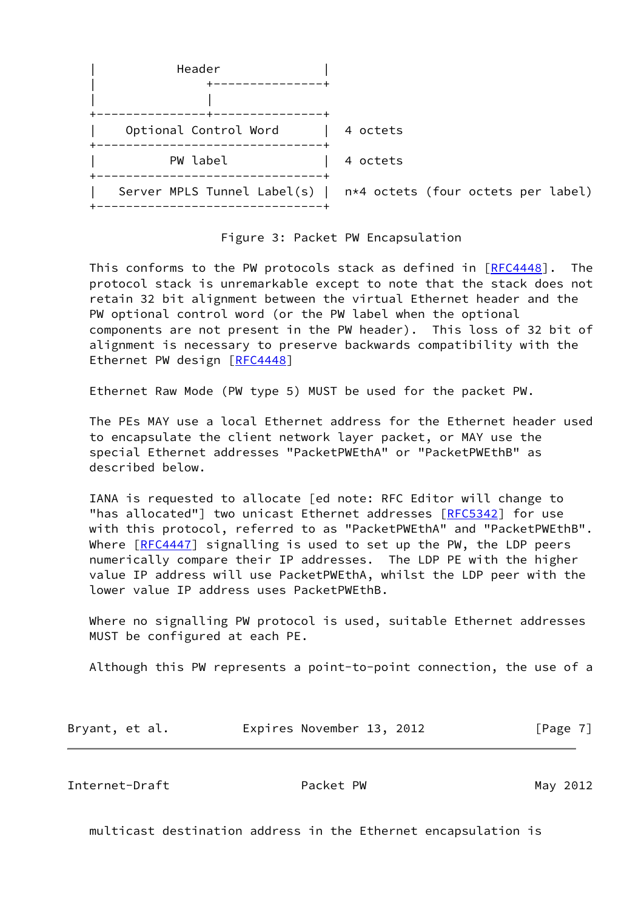

#### Figure 3: Packet PW Encapsulation

This conforms to the PW protocols stack as defined in [[RFC4448](https://datatracker.ietf.org/doc/pdf/rfc4448)]. The protocol stack is unremarkable except to note that the stack does not retain 32 bit alignment between the virtual Ethernet header and the PW optional control word (or the PW label when the optional components are not present in the PW header). This loss of 32 bit of alignment is necessary to preserve backwards compatibility with the Ethernet PW design [[RFC4448\]](https://datatracker.ietf.org/doc/pdf/rfc4448)

Ethernet Raw Mode (PW type 5) MUST be used for the packet PW.

 The PEs MAY use a local Ethernet address for the Ethernet header used to encapsulate the client network layer packet, or MAY use the special Ethernet addresses "PacketPWEthA" or "PacketPWEthB" as described below.

 IANA is requested to allocate [ed note: RFC Editor will change to "has allocated"] two unicast Ethernet addresses [\[RFC5342](https://datatracker.ietf.org/doc/pdf/rfc5342)] for use with this protocol, referred to as "PacketPWEthA" and "PacketPWEthB". Where [[RFC4447](https://datatracker.ietf.org/doc/pdf/rfc4447)] signalling is used to set up the PW, the LDP peers numerically compare their IP addresses. The LDP PE with the higher value IP address will use PacketPWEthA, whilst the LDP peer with the lower value IP address uses PacketPWEthB.

 Where no signalling PW protocol is used, suitable Ethernet addresses MUST be configured at each PE.

Although this PW represents a point-to-point connection, the use of a

| Bryant, et al. | Expires November 13, 2012 | [Page 7] |
|----------------|---------------------------|----------|
|----------------|---------------------------|----------|

<span id="page-7-0"></span>Internet-Draft **Packet PW** Packet PW May 2012

multicast destination address in the Ethernet encapsulation is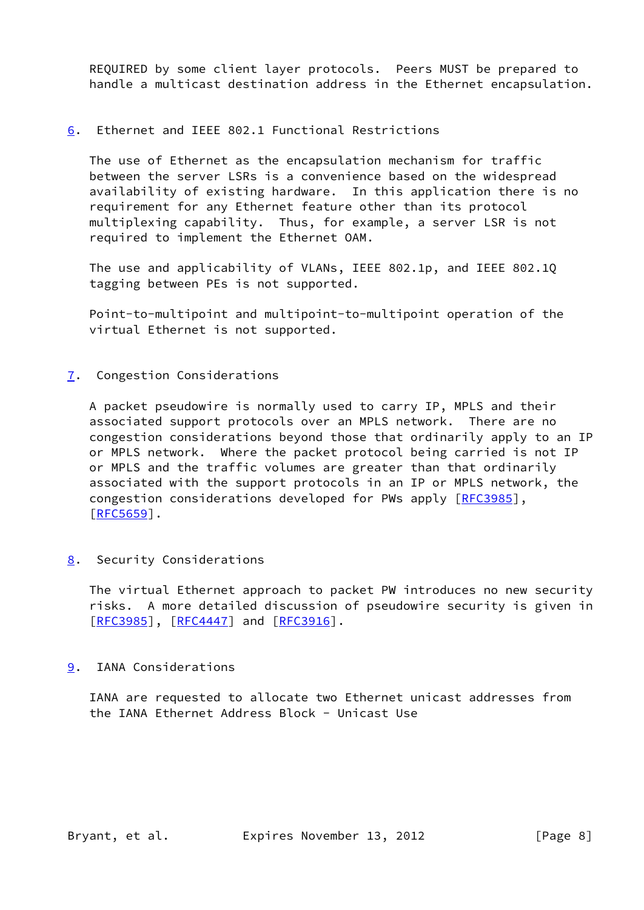REQUIRED by some client layer protocols. Peers MUST be prepared to handle a multicast destination address in the Ethernet encapsulation.

<span id="page-8-0"></span>[6](#page-8-0). Ethernet and IEEE 802.1 Functional Restrictions

 The use of Ethernet as the encapsulation mechanism for traffic between the server LSRs is a convenience based on the widespread availability of existing hardware. In this application there is no requirement for any Ethernet feature other than its protocol multiplexing capability. Thus, for example, a server LSR is not required to implement the Ethernet OAM.

 The use and applicability of VLANs, IEEE 802.1p, and IEEE 802.1Q tagging between PEs is not supported.

 Point-to-multipoint and multipoint-to-multipoint operation of the virtual Ethernet is not supported.

<span id="page-8-1"></span>[7](#page-8-1). Congestion Considerations

 A packet pseudowire is normally used to carry IP, MPLS and their associated support protocols over an MPLS network. There are no congestion considerations beyond those that ordinarily apply to an IP or MPLS network. Where the packet protocol being carried is not IP or MPLS and the traffic volumes are greater than that ordinarily associated with the support protocols in an IP or MPLS network, the congestion considerations developed for PWs apply [[RFC3985](https://datatracker.ietf.org/doc/pdf/rfc3985)], [\[RFC5659](https://datatracker.ietf.org/doc/pdf/rfc5659)].

<span id="page-8-2"></span>[8](#page-8-2). Security Considerations

 The virtual Ethernet approach to packet PW introduces no new security risks. A more detailed discussion of pseudowire security is given in  $[REC3985]$ ,  $[REC4447]$  and  $[REC3916]$ .

<span id="page-8-3"></span>[9](#page-8-3). IANA Considerations

 IANA are requested to allocate two Ethernet unicast addresses from the IANA Ethernet Address Block - Unicast Use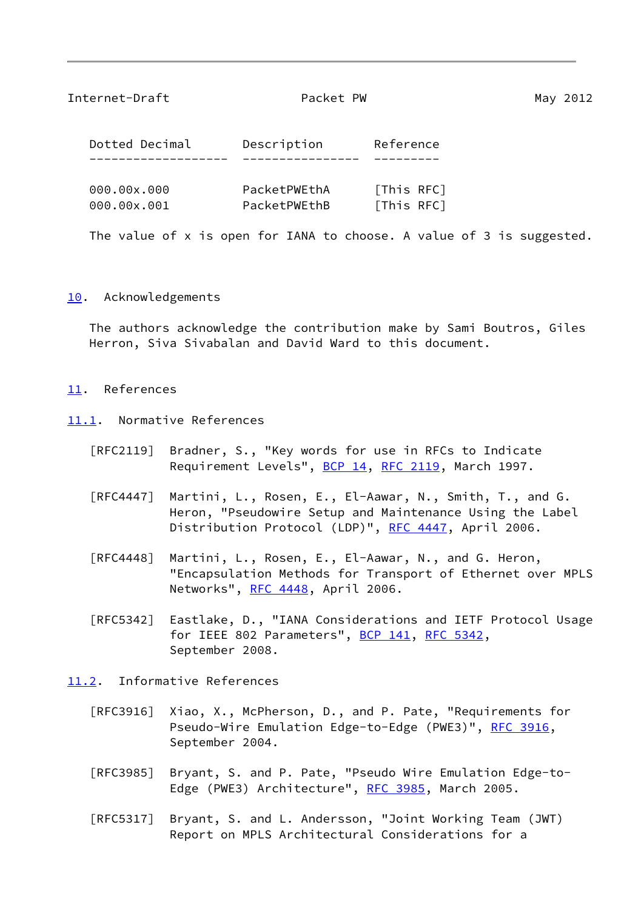#### <span id="page-9-1"></span>Internet-Draft **Packet PW** Packet PW May 2012

| Dotted Decimal | Description | Reference  |
|----------------|-------------|------------|
|                |             |            |
| aaa aay aaa    | $D \cap C$  | FTW;c DEC1 |

| 000.00x.000 | PacketPWEthA | [This RFC] |
|-------------|--------------|------------|
| 000.00x.001 | PacketPWEthB | [This RFC] |

The value of x is open for IANA to choose. A value of 3 is suggested.

#### <span id="page-9-0"></span>[10.](#page-9-0) Acknowledgements

 The authors acknowledge the contribution make by Sami Boutros, Giles Herron, Siva Sivabalan and David Ward to this document.

#### <span id="page-9-2"></span>[11.](#page-9-2) References

- <span id="page-9-3"></span>[11.1](#page-9-3). Normative References
	- [RFC2119] Bradner, S., "Key words for use in RFCs to Indicate Requirement Levels", [BCP 14](https://datatracker.ietf.org/doc/pdf/bcp14), [RFC 2119](https://datatracker.ietf.org/doc/pdf/rfc2119), March 1997.
	- [RFC4447] Martini, L., Rosen, E., El-Aawar, N., Smith, T., and G. Heron, "Pseudowire Setup and Maintenance Using the Label Distribution Protocol (LDP)", [RFC 4447](https://datatracker.ietf.org/doc/pdf/rfc4447), April 2006.
	- [RFC4448] Martini, L., Rosen, E., El-Aawar, N., and G. Heron, "Encapsulation Methods for Transport of Ethernet over MPLS Networks", [RFC 4448](https://datatracker.ietf.org/doc/pdf/rfc4448), April 2006.
	- [RFC5342] Eastlake, D., "IANA Considerations and IETF Protocol Usage for IEEE 802 Parameters", [BCP 141](https://datatracker.ietf.org/doc/pdf/bcp141), [RFC 5342](https://datatracker.ietf.org/doc/pdf/rfc5342), September 2008.
- <span id="page-9-4"></span>[11.2](#page-9-4). Informative References
	- [RFC3916] Xiao, X., McPherson, D., and P. Pate, "Requirements for Pseudo-Wire Emulation Edge-to-Edge (PWE3)", [RFC 3916,](https://datatracker.ietf.org/doc/pdf/rfc3916) September 2004.
	- [RFC3985] Bryant, S. and P. Pate, "Pseudo Wire Emulation Edge-to- Edge (PWE3) Architecture", [RFC 3985](https://datatracker.ietf.org/doc/pdf/rfc3985), March 2005.
	- [RFC5317] Bryant, S. and L. Andersson, "Joint Working Team (JWT) Report on MPLS Architectural Considerations for a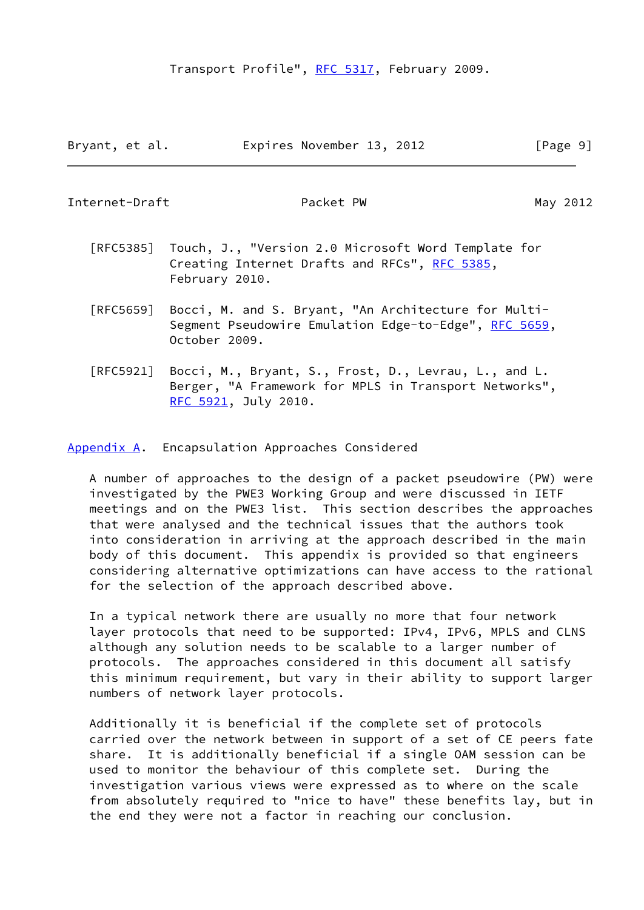Bryant, et al. Expires November 13, 2012 [Page 9]

<span id="page-10-1"></span>Internet-Draft Packet PW Packet PW May 2012

- [RFC5385] Touch, J., "Version 2.0 Microsoft Word Template for Creating Internet Drafts and RFCs", [RFC 5385,](https://datatracker.ietf.org/doc/pdf/rfc5385) February 2010.
- [RFC5659] Bocci, M. and S. Bryant, "An Architecture for Multi- Segment Pseudowire Emulation Edge-to-Edge", [RFC 5659,](https://datatracker.ietf.org/doc/pdf/rfc5659) October 2009.
- [RFC5921] Bocci, M., Bryant, S., Frost, D., Levrau, L., and L. Berger, "A Framework for MPLS in Transport Networks", [RFC 5921,](https://datatracker.ietf.org/doc/pdf/rfc5921) July 2010.

<span id="page-10-0"></span>[Appendix A.](#page-10-0) Encapsulation Approaches Considered

 A number of approaches to the design of a packet pseudowire (PW) were investigated by the PWE3 Working Group and were discussed in IETF meetings and on the PWE3 list. This section describes the approaches that were analysed and the technical issues that the authors took into consideration in arriving at the approach described in the main body of this document. This appendix is provided so that engineers considering alternative optimizations can have access to the rational for the selection of the approach described above.

 In a typical network there are usually no more that four network layer protocols that need to be supported: IPv4, IPv6, MPLS and CLNS although any solution needs to be scalable to a larger number of protocols. The approaches considered in this document all satisfy this minimum requirement, but vary in their ability to support larger numbers of network layer protocols.

 Additionally it is beneficial if the complete set of protocols carried over the network between in support of a set of CE peers fate share. It is additionally beneficial if a single OAM session can be used to monitor the behaviour of this complete set. During the investigation various views were expressed as to where on the scale from absolutely required to "nice to have" these benefits lay, but in the end they were not a factor in reaching our conclusion.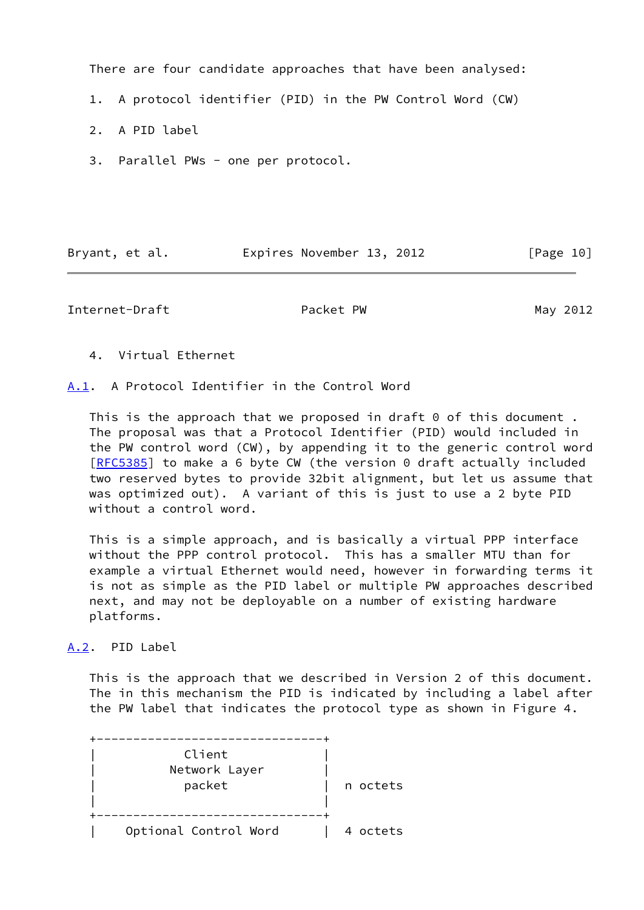There are four candidate approaches that have been analysed:

- 1. A protocol identifier (PID) in the PW Control Word (CW)
- 2. A PID label
- 3. Parallel PWs one per protocol.

| Bryant, et al. | Expires November 13, 2012 |  | [Page 10] |
|----------------|---------------------------|--|-----------|
|                |                           |  |           |

<span id="page-11-1"></span>Internet-Draft **Packet PW** Packet PW May 2012

4. Virtual Ethernet

<span id="page-11-0"></span>[A.1](#page-11-0). A Protocol Identifier in the Control Word

This is the approach that we proposed in draft  $\theta$  of this document. The proposal was that a Protocol Identifier (PID) would included in the PW control word (CW), by appending it to the generic control word [\[RFC5385](https://datatracker.ietf.org/doc/pdf/rfc5385)] to make a 6 byte CW (the version 0 draft actually included two reserved bytes to provide 32bit alignment, but let us assume that was optimized out). A variant of this is just to use a 2 byte PID without a control word.

 This is a simple approach, and is basically a virtual PPP interface without the PPP control protocol. This has a smaller MTU than for example a virtual Ethernet would need, however in forwarding terms it is not as simple as the PID label or multiple PW approaches described next, and may not be deployable on a number of existing hardware platforms.

<span id="page-11-2"></span>[A.2](#page-11-2). PID Label

 This is the approach that we described in Version 2 of this document. The in this mechanism the PID is indicated by including a label after the PW label that indicates the protocol type as shown in Figure 4.

| Client                |          |
|-----------------------|----------|
| Network Layer         |          |
| packet                | n octets |
|                       |          |
|                       |          |
| Optional Control Word | 4 octets |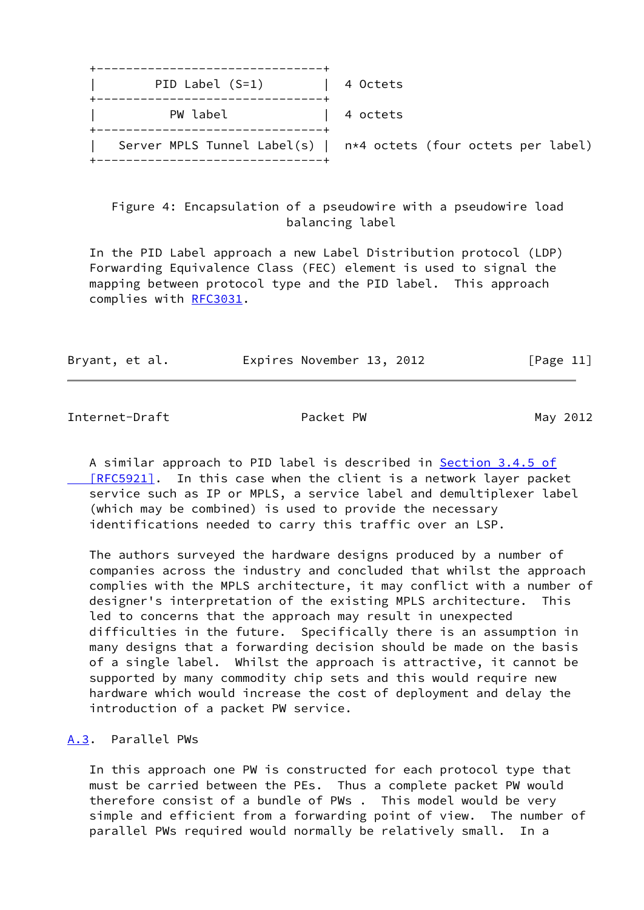| ______________________________<br>PID Label $(S=1)$ | 4 Octets                                                               |
|-----------------------------------------------------|------------------------------------------------------------------------|
| PW label<br>----------------------------------      | 4 octets                                                               |
|                                                     | Server MPLS Tunnel Label(s) $\vert$ n*4 octets (four octets per label) |

 Figure 4: Encapsulation of a pseudowire with a pseudowire load balancing label

 In the PID Label approach a new Label Distribution protocol (LDP) Forwarding Equivalence Class (FEC) element is used to signal the mapping between protocol type and the PID label. This approach complies with [RFC3031](https://datatracker.ietf.org/doc/pdf/rfc3031).

| Bryant, et al. | Expires November 13, 2012 | [Page 11] |
|----------------|---------------------------|-----------|
|                |                           |           |

<span id="page-12-1"></span>Internet-Draft Packet PW Packet PW May 2012

 A similar approach to PID label is described in Section [3.4.5 of](https://datatracker.ietf.org/doc/pdf/rfc5921#section-3.4.5)  [\[RFC5921\]](https://datatracker.ietf.org/doc/pdf/rfc5921#section-3.4.5). In this case when the client is a network layer packet service such as IP or MPLS, a service label and demultiplexer label (which may be combined) is used to provide the necessary identifications needed to carry this traffic over an LSP.

 The authors surveyed the hardware designs produced by a number of companies across the industry and concluded that whilst the approach complies with the MPLS architecture, it may conflict with a number of designer's interpretation of the existing MPLS architecture. This led to concerns that the approach may result in unexpected difficulties in the future. Specifically there is an assumption in many designs that a forwarding decision should be made on the basis of a single label. Whilst the approach is attractive, it cannot be supported by many commodity chip sets and this would require new hardware which would increase the cost of deployment and delay the introduction of a packet PW service.

## <span id="page-12-0"></span>[A.3](#page-12-0). Parallel PWs

 In this approach one PW is constructed for each protocol type that must be carried between the PEs. Thus a complete packet PW would therefore consist of a bundle of PWs . This model would be very simple and efficient from a forwarding point of view. The number of parallel PWs required would normally be relatively small. In a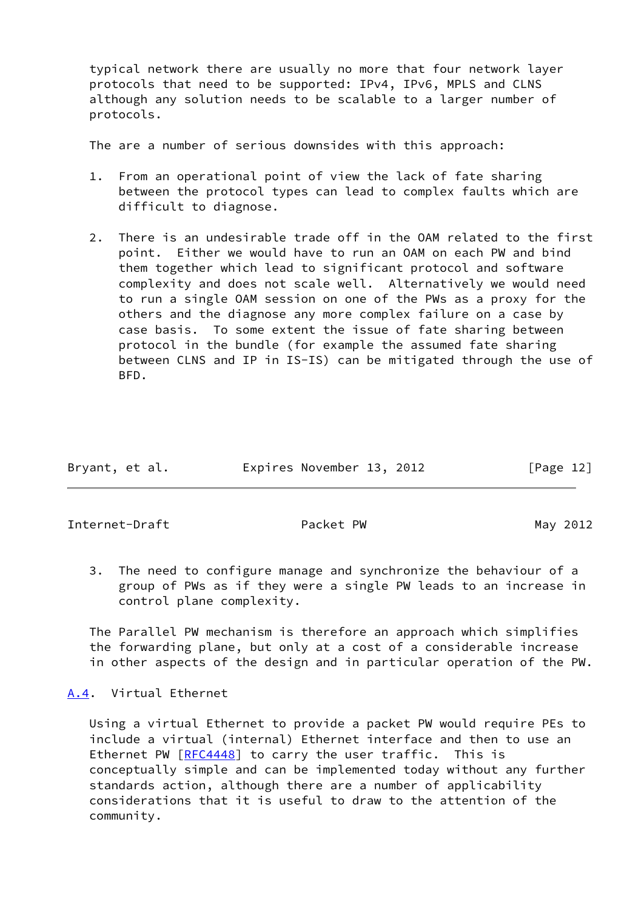typical network there are usually no more that four network layer protocols that need to be supported: IPv4, IPv6, MPLS and CLNS although any solution needs to be scalable to a larger number of protocols.

The are a number of serious downsides with this approach:

- 1. From an operational point of view the lack of fate sharing between the protocol types can lead to complex faults which are difficult to diagnose.
- 2. There is an undesirable trade off in the OAM related to the first point. Either we would have to run an OAM on each PW and bind them together which lead to significant protocol and software complexity and does not scale well. Alternatively we would need to run a single OAM session on one of the PWs as a proxy for the others and the diagnose any more complex failure on a case by case basis. To some extent the issue of fate sharing between protocol in the bundle (for example the assumed fate sharing between CLNS and IP in IS-IS) can be mitigated through the use of BFD.

| Bryant, et al. | Expires November 13, 2012 | [Page 12] |
|----------------|---------------------------|-----------|
|                |                           |           |

<span id="page-13-1"></span>Internet-Draft **Packet PW** Packet PW May 2012

 3. The need to configure manage and synchronize the behaviour of a group of PWs as if they were a single PW leads to an increase in control plane complexity.

 The Parallel PW mechanism is therefore an approach which simplifies the forwarding plane, but only at a cost of a considerable increase in other aspects of the design and in particular operation of the PW.

<span id="page-13-0"></span>[A.4](#page-13-0). Virtual Ethernet

 Using a virtual Ethernet to provide a packet PW would require PEs to include a virtual (internal) Ethernet interface and then to use an Ethernet PW [\[RFC4448](https://datatracker.ietf.org/doc/pdf/rfc4448)] to carry the user traffic. This is conceptually simple and can be implemented today without any further standards action, although there are a number of applicability considerations that it is useful to draw to the attention of the community.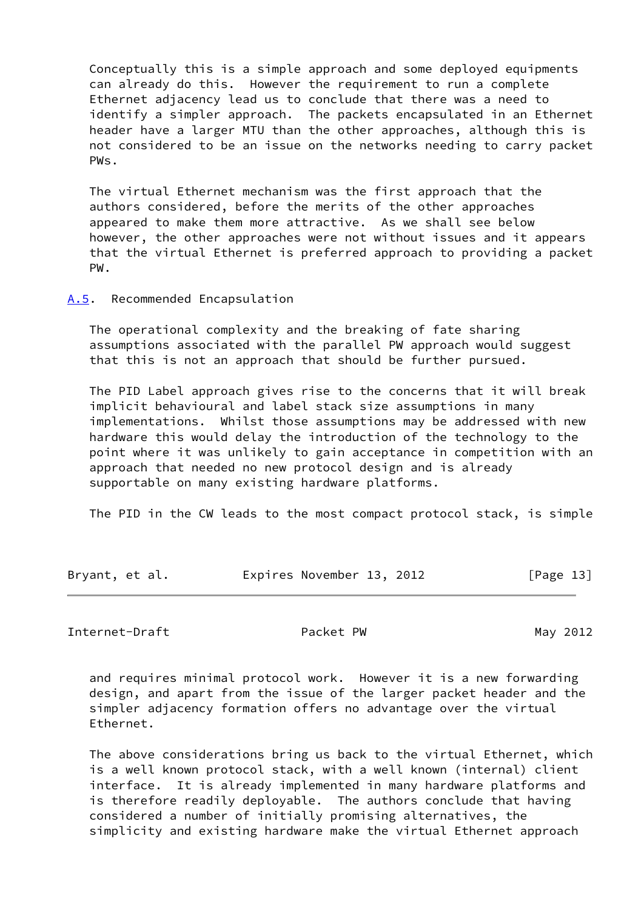Conceptually this is a simple approach and some deployed equipments can already do this. However the requirement to run a complete Ethernet adjacency lead us to conclude that there was a need to identify a simpler approach. The packets encapsulated in an Ethernet header have a larger MTU than the other approaches, although this is not considered to be an issue on the networks needing to carry packet PWs.

 The virtual Ethernet mechanism was the first approach that the authors considered, before the merits of the other approaches appeared to make them more attractive. As we shall see below however, the other approaches were not without issues and it appears that the virtual Ethernet is preferred approach to providing a packet PW.

#### <span id="page-14-0"></span>[A.5](#page-14-0). Recommended Encapsulation

 The operational complexity and the breaking of fate sharing assumptions associated with the parallel PW approach would suggest that this is not an approach that should be further pursued.

 The PID Label approach gives rise to the concerns that it will break implicit behavioural and label stack size assumptions in many implementations. Whilst those assumptions may be addressed with new hardware this would delay the introduction of the technology to the point where it was unlikely to gain acceptance in competition with an approach that needed no new protocol design and is already supportable on many existing hardware platforms.

The PID in the CW leads to the most compact protocol stack, is simple

| Bryant, et al. | Expires November 13, 2012 | [Page 13] |
|----------------|---------------------------|-----------|
|----------------|---------------------------|-----------|

<span id="page-14-1"></span>Internet-Draft **Packet PW** Packet PW May 2012

 and requires minimal protocol work. However it is a new forwarding design, and apart from the issue of the larger packet header and the simpler adjacency formation offers no advantage over the virtual Ethernet.

 The above considerations bring us back to the virtual Ethernet, which is a well known protocol stack, with a well known (internal) client interface. It is already implemented in many hardware platforms and is therefore readily deployable. The authors conclude that having considered a number of initially promising alternatives, the simplicity and existing hardware make the virtual Ethernet approach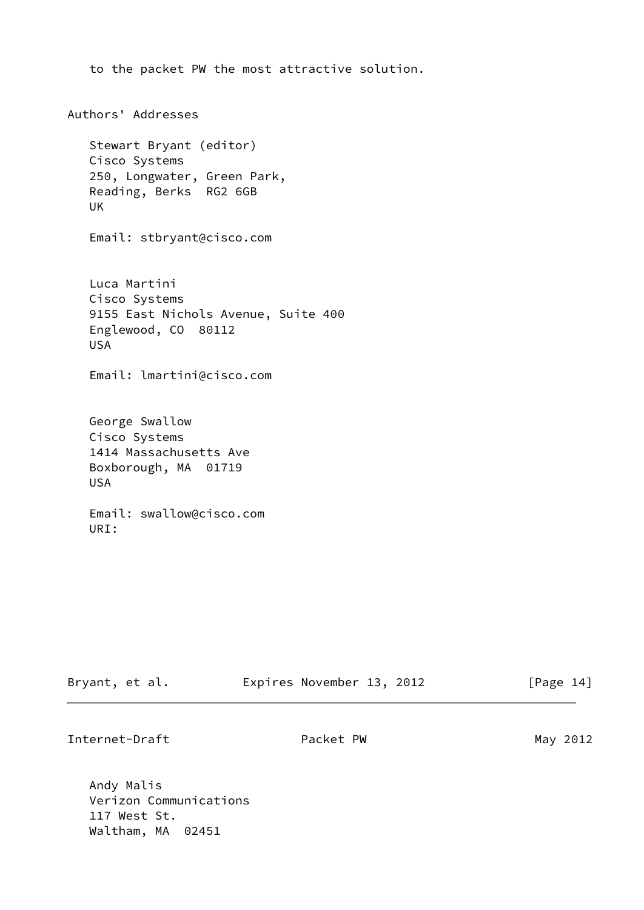```
 to the packet PW the most attractive solution.
Authors' Addresses
    Stewart Bryant (editor)
    Cisco Systems
    250, Longwater, Green Park,
    Reading, Berks RG2 6GB
    UK
    Email: stbryant@cisco.com
    Luca Martini
    Cisco Systems
    9155 East Nichols Avenue, Suite 400
    Englewood, CO 80112
    USA
    Email: lmartini@cisco.com
    George Swallow
    Cisco Systems
    1414 Massachusetts Ave
    Boxborough, MA 01719
    USA
    Email: swallow@cisco.com
    URI:
```

| Bryant, et al. | Expires November 13, 2012 | [Page 14] |
|----------------|---------------------------|-----------|
|                |                           |           |

Internet-Draft Packet PW Packet PW May 2012

 Andy Malis Verizon Communications 117 West St. Waltham, MA 02451